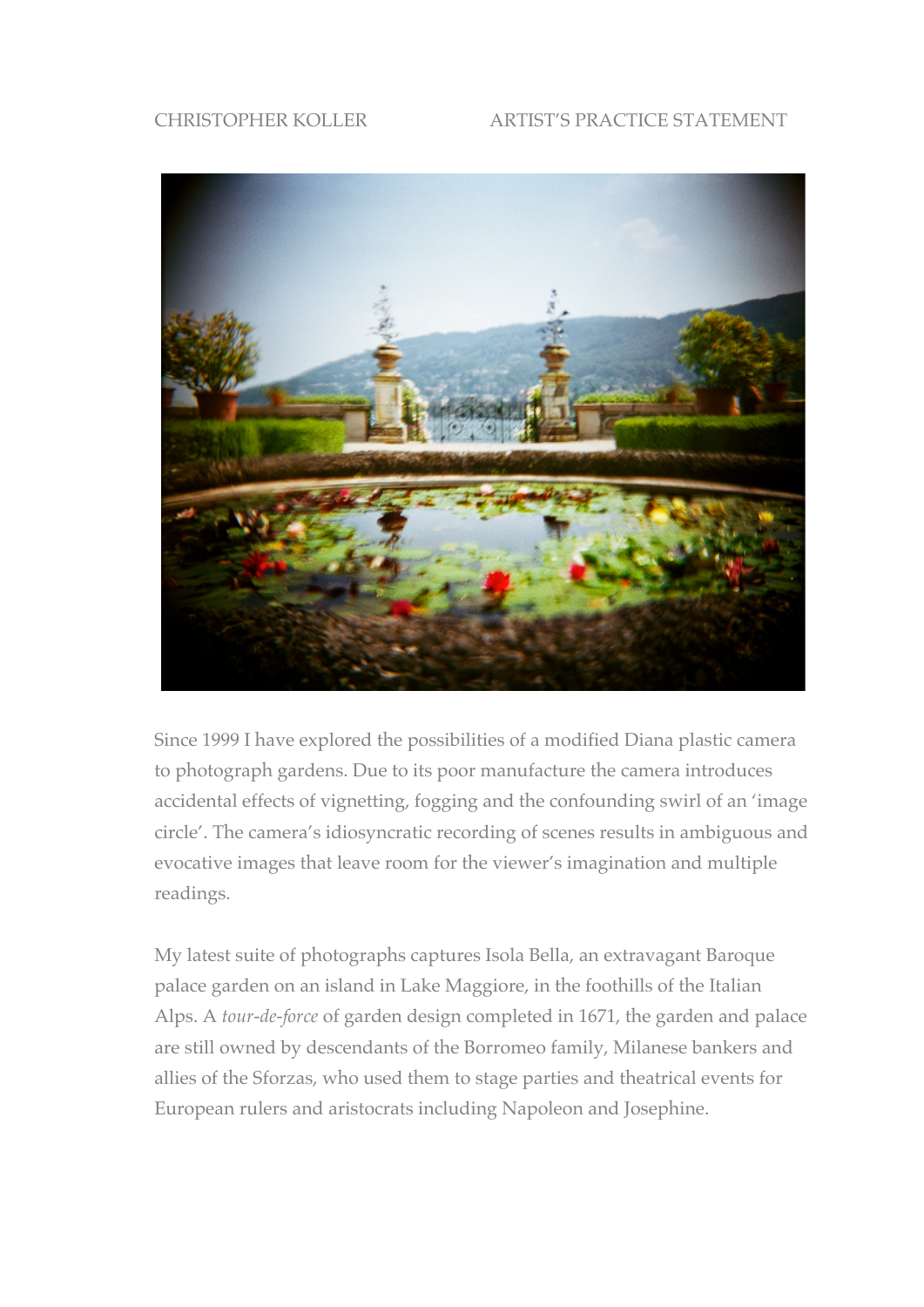## CHRISTOPHER KOLLER ARTIST'S PRACTICE STATEMENT



Since 1999 I have explored the possibilities of a modified Diana plastic camera to photograph gardens. Due to its poor manufacture the camera introduces accidental effects of vignetting, fogging and the confounding swirl of an 'image circle'. The camera's idiosyncratic recording of scenes results in ambiguous and evocative images that leave room for the viewer's imagination and multiple readings.

My latest suite of photographs captures Isola Bella, an extravagant Baroque palace garden on an island in Lake Maggiore, in the foothills of the Italian Alps. A *tour-de-force* of garden design completed in 1671, the garden and palace are still owned by descendants of the Borromeo family, Milanese bankers and allies of the Sforzas, who used them to stage parties and theatrical events for European rulers and aristocrats including Napoleon and Josephine.